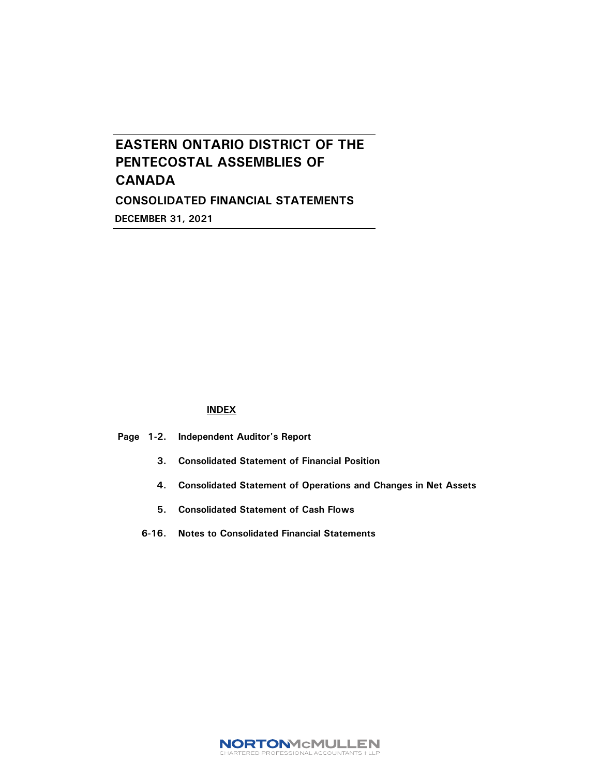# CONSOLIDATED FINANCIAL STATEMENTS EASTERN ONTARIO DISTRICT OF THE PENTECOSTAL ASSEMBLIES OF CANADA

DECEMBER 31, 2021

#### INDEX

#### Page 1-2. Independent Auditor's Report

- 3. Consolidated Statement of Financial Position
- 4. Consolidated Statement of Operations and Changes in Net Assets
- 5. Consolidated Statement of Cash Flows
- 6-16. Notes to Consolidated Financial Statements

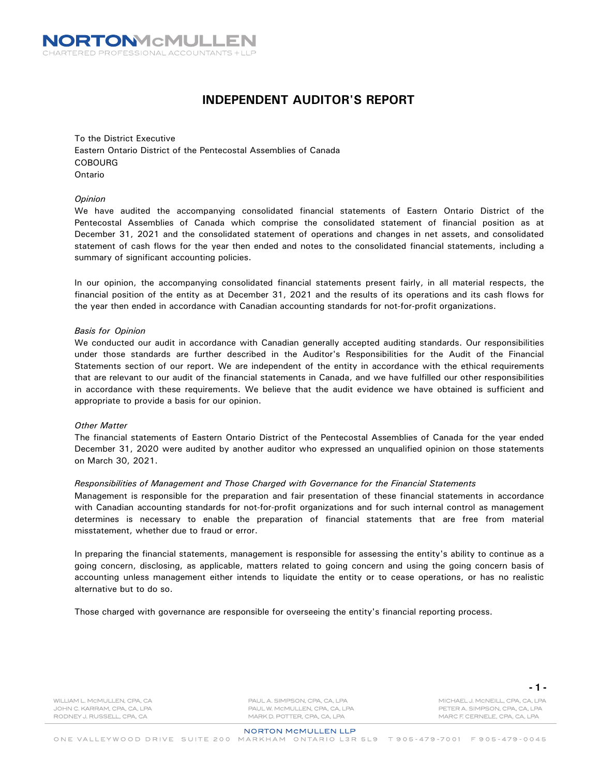

## INDEPENDENT AUDITOR'S REPORT

To the District Executive Eastern Ontario District of the Pentecostal Assemblies of Canada **COBOURG** Ontario

#### **Opinion**

We have audited the accompanying consolidated financial statements of Eastern Ontario District of the Pentecostal Assemblies of Canada which comprise the consolidated statement of financial position as at December 31, 2021 and the consolidated statement of operations and changes in net assets, and consolidated statement of cash flows for the year then ended and notes to the consolidated financial statements, including a summary of significant accounting policies.

In our opinion, the accompanying consolidated financial statements present fairly, in all material respects, the financial position of the entity as at December 31, 2021 and the results of its operations and its cash flows for the year then ended in accordance with Canadian accounting standards for not-for-profit organizations.

#### Basis for Opinion

We conducted our audit in accordance with Canadian generally accepted auditing standards. Our responsibilities under those standards are further described in the Auditor's Responsibilities for the Audit of the Financial Statements section of our report. We are independent of the entity in accordance with the ethical requirements that are relevant to our audit of the financial statements in Canada, and we have fulfilled our other responsibilities in accordance with these requirements. We believe that the audit evidence we have obtained is sufficient and appropriate to provide a basis for our opinion.

#### Other Matter

The financial statements of Eastern Ontario District of the Pentecostal Assemblies of Canada for the year ended December 31, 2020 were audited by another auditor who expressed an unqualified opinion on those statements on March 30, 2021.

#### Responsibilities of Management and Those Charged with Governance for the Financial Statements

Management is responsible for the preparation and fair presentation of these financial statements in accordance with Canadian accounting standards for not-for-profit organizations and for such internal control as management determines is necessary to enable the preparation of financial statements that are free from material misstatement, whether due to fraud or error.

In preparing the financial statements, management is responsible for assessing the entity's ability to continue as a going concern, disclosing, as applicable, matters related to going concern and using the going concern basis of accounting unless management either intends to liquidate the entity or to cease operations, or has no realistic alternative but to do so.

Those charged with governance are responsible for overseeing the entity's financial reporting process.

WILLIAM L. MCMULLEN, CPA, CA JOHN C. KARRAM, CPA, CA, LPA Ė

PAUL A. SIMPSON, CPA, CA, LPA PAUL W. MCMULLEN, CPA, CA, LPA MARK D. POTTER, CPA, CA, LPA

MICHAEL J. MCNEILL, CPA, CA, LPA PETER A. SIMPSON, CPA, CA, LPA MARC F. CERNELE, CPA, CA, LPA

**- 1 -** 

**NORTON MCMULLEN LLP** ONE VALLEYWOOD DRIVE SUITE 200 MARKHAM ONTARIO L3R 5L9 T 905-479-7001 F 905-479-0045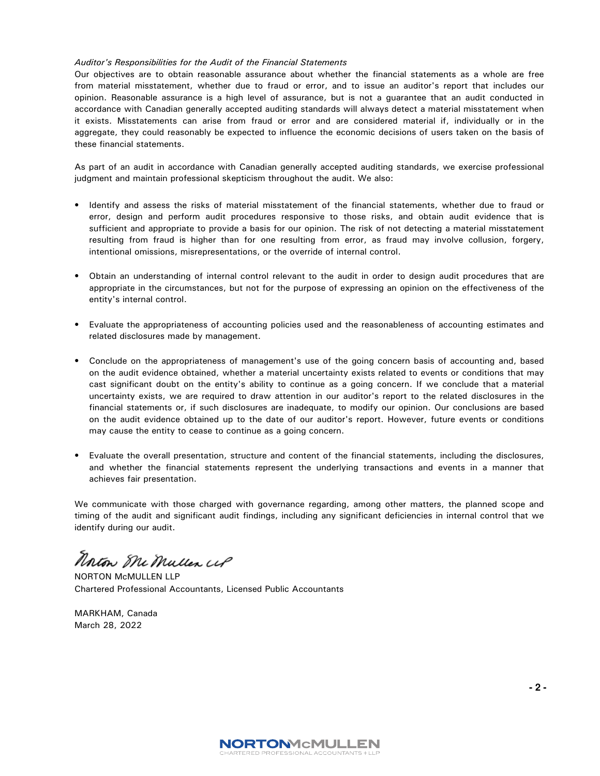#### Auditor's Responsibilities for the Audit of the Financial Statements

Our objectives are to obtain reasonable assurance about whether the financial statements as a whole are free from material misstatement, whether due to fraud or error, and to issue an auditor's report that includes our opinion. Reasonable assurance is a high level of assurance, but is not a guarantee that an audit conducted in accordance with Canadian generally accepted auditing standards will always detect a material misstatement when it exists. Misstatements can arise from fraud or error and are considered material if, individually or in the aggregate, they could reasonably be expected to influence the economic decisions of users taken on the basis of these financial statements.

As part of an audit in accordance with Canadian generally accepted auditing standards, we exercise professional judgment and maintain professional skepticism throughout the audit. We also:

- Identify and assess the risks of material misstatement of the financial statements, whether due to fraud or error, design and perform audit procedures responsive to those risks, and obtain audit evidence that is sufficient and appropriate to provide a basis for our opinion. The risk of not detecting a material misstatement resulting from fraud is higher than for one resulting from error, as fraud may involve collusion, forgery, intentional omissions, misrepresentations, or the override of internal control.
- Obtain an understanding of internal control relevant to the audit in order to design audit procedures that are appropriate in the circumstances, but not for the purpose of expressing an opinion on the effectiveness of the entity's internal control.
- Evaluate the appropriateness of accounting policies used and the reasonableness of accounting estimates and related disclosures made by management.
- Conclude on the appropriateness of management's use of the going concern basis of accounting and, based on the audit evidence obtained, whether a material uncertainty exists related to events or conditions that may cast significant doubt on the entity's ability to continue as a going concern. If we conclude that a material uncertainty exists, we are required to draw attention in our auditor's report to the related disclosures in the financial statements or, if such disclosures are inadequate, to modify our opinion. Our conclusions are based on the audit evidence obtained up to the date of our auditor's report. However, future events or conditions may cause the entity to cease to continue as a going concern.
- Evaluate the overall presentation, structure and content of the financial statements, including the disclosures, and whether the financial statements represent the underlying transactions and events in a manner that achieves fair presentation.

We communicate with those charged with governance regarding, among other matters, the planned scope and timing of the audit and significant audit findings, including any significant deficiencies in internal control that we identify during our audit.

Norton Mr Muller UP

NORTON McMULLEN LLP Chartered Professional Accountants, Licensed Public Accountants

MARKHAM, Canada March 28, 2022

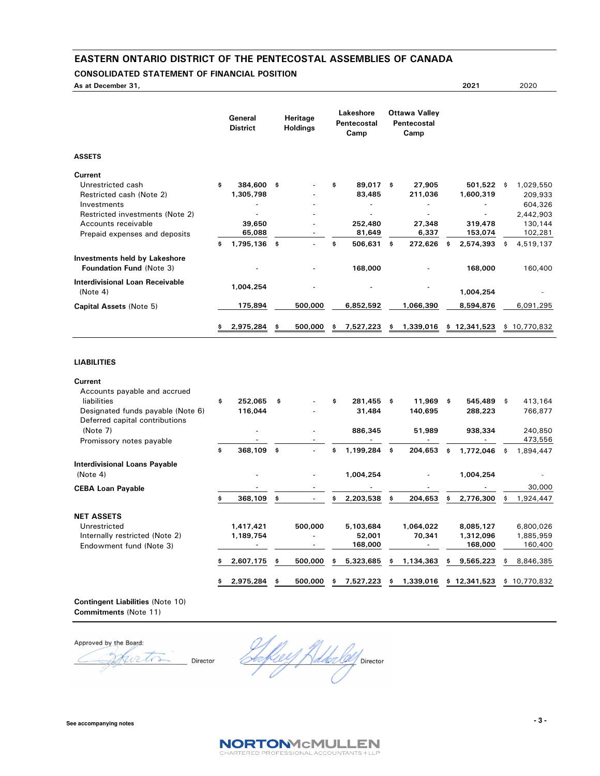#### CONSOLIDATED STATEMENT OF FINANCIAL POSITION

As at December 31, 2021 2020

|                                                                                                                                                                    |          | General<br><b>District</b>                                              |             | Heritage<br><b>Holdings</b> |          | Lakeshore<br>Pentecostal<br>Camp                                                |          | <b>Ottawa Valley</b><br><b>Pentecostal</b><br>Camp                |          |                                                                           |           |                                                                                 |
|--------------------------------------------------------------------------------------------------------------------------------------------------------------------|----------|-------------------------------------------------------------------------|-------------|-----------------------------|----------|---------------------------------------------------------------------------------|----------|-------------------------------------------------------------------|----------|---------------------------------------------------------------------------|-----------|---------------------------------------------------------------------------------|
| <b>ASSETS</b>                                                                                                                                                      |          |                                                                         |             |                             |          |                                                                                 |          |                                                                   |          |                                                                           |           |                                                                                 |
| Current<br>Unrestricted cash<br>Restricted cash (Note 2)<br>Investments<br>Restricted investments (Note 2)<br>Accounts receivable<br>Prepaid expenses and deposits | \$<br>\$ | 384,600<br>1,305,798<br>$\blacksquare$<br>39,650<br>65,088<br>1,795,136 | -\$<br>- \$ |                             | \$<br>\$ | 89,017 \$<br>83,485<br>$\overline{\phantom{a}}$<br>252,480<br>81,649<br>506,631 | \$       | 27,905<br>211,036<br>$\blacksquare$<br>27,348<br>6,337<br>272,626 | \$       | 501,522<br>1,600,319<br>$\blacksquare$<br>319,478<br>153,074<br>2,574,393 | -\$<br>\$ | 1,029,550<br>209,933<br>604,326<br>2,442,903<br>130,144<br>102,281<br>4,519,137 |
| <b>Investments held by Lakeshore</b><br>Foundation Fund (Note 3)                                                                                                   |          |                                                                         |             |                             |          | 168,000                                                                         |          |                                                                   |          | 168,000                                                                   |           | 160,400                                                                         |
| <b>Interdivisional Loan Receivable</b><br>(Note 4)                                                                                                                 |          | 1,004,254                                                               |             |                             |          |                                                                                 |          |                                                                   |          | 1,004,254                                                                 |           |                                                                                 |
| Capital Assets (Note 5)                                                                                                                                            |          | 175,894                                                                 |             | 500,000                     |          | 6,852,592                                                                       |          | 1,066,390                                                         |          | 8,594,876                                                                 |           | 6,091,295                                                                       |
|                                                                                                                                                                    |          | 2,975,284                                                               | \$          | 500,000                     | \$       | 7,527,223                                                                       | \$       | 1,339,016                                                         |          | \$12,341,523                                                              |           | \$10,770,832                                                                    |
| <b>LIABILITIES</b><br><b>Current</b><br>Accounts payable and accrued                                                                                               |          |                                                                         |             |                             |          |                                                                                 |          |                                                                   |          |                                                                           |           |                                                                                 |
| liabilities<br>Designated funds payable (Note 6)<br>Deferred capital contributions<br>(Note 7)<br>Promissory notes payable                                         | \$       | 252,065<br>116,044                                                      | \$          |                             | \$       | 281,455<br>31,484<br>886,345                                                    | \$       | 11,969<br>140,695<br>51,989                                       | \$       | 545,489<br>288,223<br>938,334                                             | -\$       | 413,164<br>766,877<br>240,850<br>473,556                                        |
| <b>Interdivisional Loans Payable</b><br>(Note 4)                                                                                                                   | \$       | 368,109                                                                 | \$          |                             | Ś        | 1,199,284<br>1,004,254                                                          | \$       | 204,653                                                           | \$       | 1,772,046<br>1,004,254                                                    | \$        | 1,894,447                                                                       |
| <b>CEBA Loan Payable</b>                                                                                                                                           |          |                                                                         |             |                             |          |                                                                                 |          |                                                                   |          |                                                                           |           | 30,000                                                                          |
| <b>NET ASSETS</b><br>Unrestricted<br>Internally restricted (Note 2)<br>Endowment fund (Note 3)                                                                     | \$       | 368,109<br>1,417,421<br>1,189,754<br>2,607,175                          | \$<br>\$    | 500,000<br>500,000          | \$<br>\$ | 2,203,538<br>5,103,684<br>52,001<br>168,000<br>5,323,685                        | \$<br>\$ | 204,653<br>1,064,022<br>70,341<br>1,134,363                       | \$<br>\$ | 2,776,300<br>8,085,127<br>1,312,096<br>168,000<br>9,565,223               | \$<br>\$  | 1,924,447<br>6,800,026<br>1,885,959<br>160,400<br>8,846,385                     |
|                                                                                                                                                                    |          | 2,975,284                                                               | \$          | 500,000                     | \$       | 7,527,223                                                                       | \$       | 1,339,016                                                         | \$       | 12,341,523                                                                |           | \$10,770,832                                                                    |

Contingent Liabilities (Note 10) Commitments (Note 11)

Approved by the Board:

Out of balance - Furto Director The fleet Halderlay Director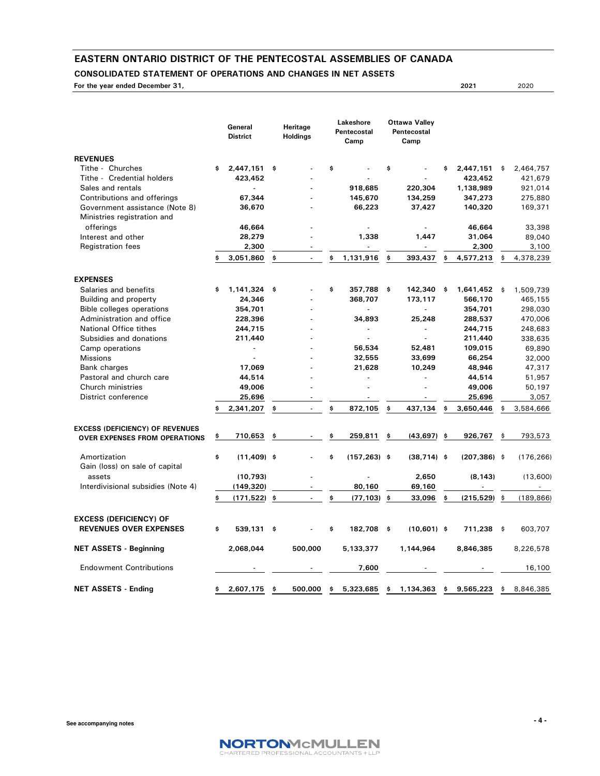#### CONSOLIDATED STATEMENT OF OPERATIONS AND CHANGES IN NET ASSETS

For the year ended December 31, 2021 2020

|                                                                                |     | General<br><b>District</b> |     | Heritage<br><b>Holdings</b> |    | Lakeshore<br>Pentecostal<br>Camp |     | <b>Ottawa Valley</b><br>Pentecostal<br>Camp |    |                 |      |            |
|--------------------------------------------------------------------------------|-----|----------------------------|-----|-----------------------------|----|----------------------------------|-----|---------------------------------------------|----|-----------------|------|------------|
| <b>REVENUES</b><br>Tithe - Churches                                            |     | 2,447,151                  | \$. |                             | \$ |                                  | \$. |                                             | Ś  | 2,447,151       | \$   | 2,464,757  |
| Tithe - Credential holders                                                     |     | 423,452                    |     |                             |    |                                  |     |                                             |    | 423,452         |      | 421,679    |
| Sales and rentals                                                              |     |                            |     |                             |    | 918,685                          |     | 220,304                                     |    | 1,138,989       |      | 921,014    |
| Contributions and offerings                                                    |     | 67,344                     |     |                             |    | 145,670                          |     | 134,259                                     |    | 347,273         |      | 275,880    |
| Government assistance (Note 8)<br>Ministries registration and                  |     | 36,670                     |     |                             |    | 66,223                           |     | 37,427                                      |    | 140,320         |      | 169,371    |
| offerings                                                                      |     | 46,664                     |     |                             |    |                                  |     |                                             |    | 46,664          |      | 33,398     |
| Interest and other                                                             |     | 28,279                     |     |                             |    | 1,338                            |     | 1,447                                       |    | 31,064          |      | 89,040     |
| <b>Registration fees</b>                                                       |     | 2,300                      |     |                             |    | ÷                                |     |                                             |    | 2,300           |      | 3,100      |
|                                                                                |     | 3,051,860                  | \$  |                             | \$ | 1,131,916                        | \$  | 393,437                                     | \$ | 4,577,213       | \$   | 4,378,239  |
| <b>EXPENSES</b>                                                                |     |                            |     |                             |    |                                  |     |                                             |    |                 |      |            |
| Salaries and benefits                                                          | \$. | 1,141,324                  | \$  |                             | \$ | 357,788                          | \$  | 142,340                                     | \$ | 1,641,452       | \$   | 1,509,739  |
| Building and property                                                          |     | 24,346                     |     |                             |    | 368,707                          |     | 173,117                                     |    | 566,170         |      | 465,155    |
| <b>Bible colleges operations</b>                                               |     | 354,701                    |     |                             |    | $\blacksquare$                   |     | $\blacksquare$                              |    | 354,701         |      | 298,030    |
| Administration and office                                                      |     | 228,396                    |     |                             |    | 34,893                           |     | 25,248                                      |    | 288,537         |      | 470,006    |
| National Office tithes                                                         |     | 244,715                    |     |                             |    | $\overline{\phantom{a}}$         |     | $\overline{a}$                              |    | 244,715         |      | 248,683    |
| Subsidies and donations                                                        |     | 211,440                    |     |                             |    | $\overline{\phantom{a}}$         |     | $\blacksquare$                              |    | 211,440         |      | 338,635    |
| Camp operations                                                                |     | $\blacksquare$             |     |                             |    | 56.534                           |     | 52,481                                      |    | 109,015         |      | 69,890     |
| <b>Missions</b>                                                                |     |                            |     |                             |    | 32,555                           |     | 33,699                                      |    | 66,254          |      | 32,000     |
| Bank charges                                                                   |     | 17.069                     |     |                             |    | 21.628                           |     | 10,249                                      |    | 48,946          |      | 47,317     |
| Pastoral and church care                                                       |     | 44,514                     |     |                             |    |                                  |     |                                             |    | 44,514          |      | 51,957     |
| Church ministries<br>District conference                                       |     | 49,006                     |     |                             |    | $\blacksquare$                   |     |                                             |    | 49,006          |      | 50,197     |
|                                                                                |     | 25,696                     |     |                             |    |                                  |     |                                             |    | 25,696          |      | 3,057      |
|                                                                                |     | 2,341,207                  | \$  |                             | \$ | 872,105                          | \$  | 437,134                                     | \$ | 3,650,446       | \$   | 3,584,666  |
| <b>EXCESS (DEFICIENCY) OF REVENUES</b><br><b>OVER EXPENSES FROM OPERATIONS</b> | \$  | 710,653                    | \$  |                             | \$ | 259,811                          | \$  | $(43, 697)$ \$                              |    | 926,767         | \$   | 793,573    |
| Amortization                                                                   | \$  | $(11,409)$ \$              |     |                             | Ś  | $(157, 263)$ \$                  |     | $(38, 714)$ \$                              |    | $(207, 386)$ \$ |      | (176, 266) |
| Gain (loss) on sale of capital<br>assets                                       |     | (10, 793)                  |     |                             |    |                                  |     | 2,650                                       |    | (8, 143)        |      | (13,600)   |
| Interdivisional subsidies (Note 4)                                             |     | (149, 320)                 |     |                             |    | 80,160                           |     | 69,160                                      |    | $\mathbf{r}$    |      | $\sim$     |
|                                                                                | \$  | $(171, 522)$ \$            |     |                             | \$ | $(77, 103)$ \$                   |     | 33,096                                      | \$ | (215, 529)      | - \$ | (189, 866) |
| <b>EXCESS (DEFICIENCY) OF</b>                                                  |     |                            |     |                             |    |                                  |     |                                             |    |                 |      |            |
| <b>REVENUES OVER EXPENSES</b>                                                  | \$  | 539,131                    | \$  |                             | \$ | 182,708 \$                       |     | $(10,601)$ \$                               |    | 711,238         | - \$ | 603,707    |
| <b>NET ASSETS - Beginning</b>                                                  |     | 2,068,044                  |     | 500,000                     |    | 5,133,377                        |     | 1,144,964                                   |    | 8,846,385       |      | 8,226,578  |
| <b>Endowment Contributions</b>                                                 |     |                            |     |                             |    | 7,600                            |     |                                             |    |                 |      | 16,100     |
| <b>NET ASSETS - Ending</b>                                                     | \$  | 2,607,175                  | \$  | 500,000                     | \$ | 5,323,685                        | \$  | 1,134,363                                   | \$ | 9,565,223       | \$   | 8,846,385  |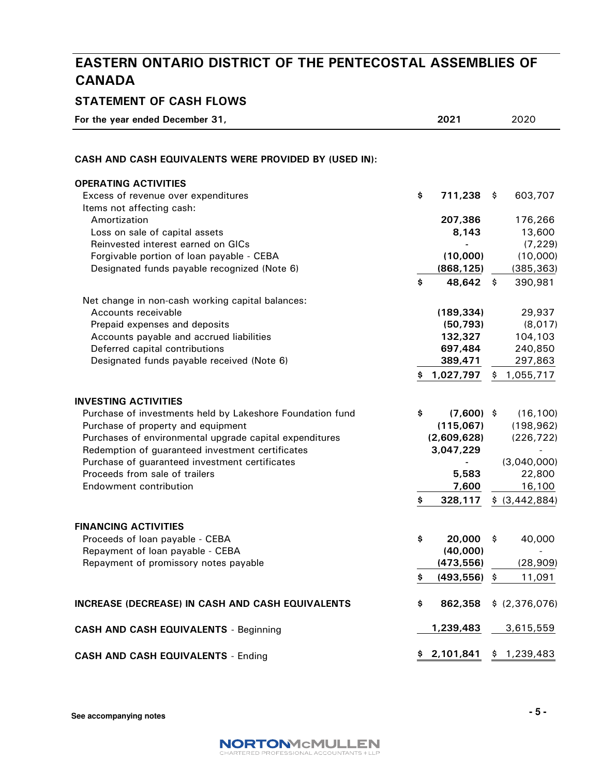## STATEMENT OF CASH FLOWS

| For the year ended December 31,                           |     | 2021           |      | 2020           |
|-----------------------------------------------------------|-----|----------------|------|----------------|
|                                                           |     |                |      |                |
| CASH AND CASH EQUIVALENTS WERE PROVIDED BY (USED IN):     |     |                |      |                |
| <b>OPERATING ACTIVITIES</b>                               |     |                |      |                |
| Excess of revenue over expenditures                       | \$  | 711,238        | \$   | 603,707        |
| Items not affecting cash:                                 |     |                |      |                |
| Amortization                                              |     | 207,386        |      | 176,266        |
| Loss on sale of capital assets                            |     | 8,143          |      | 13,600         |
| Reinvested interest earned on GICs                        |     |                |      | (7, 229)       |
| Forgivable portion of loan payable - CEBA                 |     | (10,000)       |      | (10,000)       |
| Designated funds payable recognized (Note 6)              |     | (868, 125)     |      | (385, 363)     |
|                                                           | \$  | 48,642         | - \$ | 390,981        |
| Net change in non-cash working capital balances:          |     |                |      |                |
| Accounts receivable                                       |     | (189, 334)     |      | 29,937         |
| Prepaid expenses and deposits                             |     | (50, 793)      |      | (8,017)        |
| Accounts payable and accrued liabilities                  |     | 132,327        |      | 104,103        |
| Deferred capital contributions                            |     | 697,484        |      | 240,850        |
| Designated funds payable received (Note 6)                |     | 389,471        |      | 297,863        |
|                                                           |     | \$1,027,797    | \$.  | 1,055,717      |
|                                                           |     |                |      |                |
| <b>INVESTING ACTIVITIES</b>                               |     |                |      |                |
| Purchase of investments held by Lakeshore Foundation fund | \$  | $(7,600)$ \$   |      | (16, 100)      |
| Purchase of property and equipment                        |     | (115,067)      |      | (198, 962)     |
| Purchases of environmental upgrade capital expenditures   |     | (2,609,628)    |      | (226, 722)     |
| Redemption of guaranteed investment certificates          |     | 3,047,229      |      |                |
| Purchase of guaranteed investment certificates            |     |                |      | (3,040,000)    |
| Proceeds from sale of trailers                            |     | 5,583          |      | 22,800         |
| Endowment contribution                                    |     | 7,600          |      | 16,100         |
|                                                           | \$  | 328,117        |      | \$ (3,442,884) |
|                                                           |     |                |      |                |
| <b>FINANCING ACTIVITIES</b>                               |     |                |      |                |
| Proceeds of loan payable - CEBA                           | \$  | 20,000         | \$   | 40,000         |
| Repayment of loan payable - CEBA                          |     | (40,000)       |      |                |
| Repayment of promissory notes payable                     |     | (473, 556)     |      | (28,909)       |
|                                                           |     | $(493,556)$ \$ |      |                |
|                                                           | \$. |                |      | 11,091         |
| <b>INCREASE (DECREASE) IN CASH AND CASH EQUIVALENTS</b>   | \$  | 862,358        |      | \$ (2,376,076) |
|                                                           |     |                |      |                |
| <b>CASH AND CASH EQUIVALENTS - Beginning</b>              |     | 1,239,483      |      | 3,615,559      |
| <b>CASH AND CASH EQUIVALENTS - Ending</b>                 |     | \$2,101,841    |      | \$1,239,483    |
|                                                           |     |                |      |                |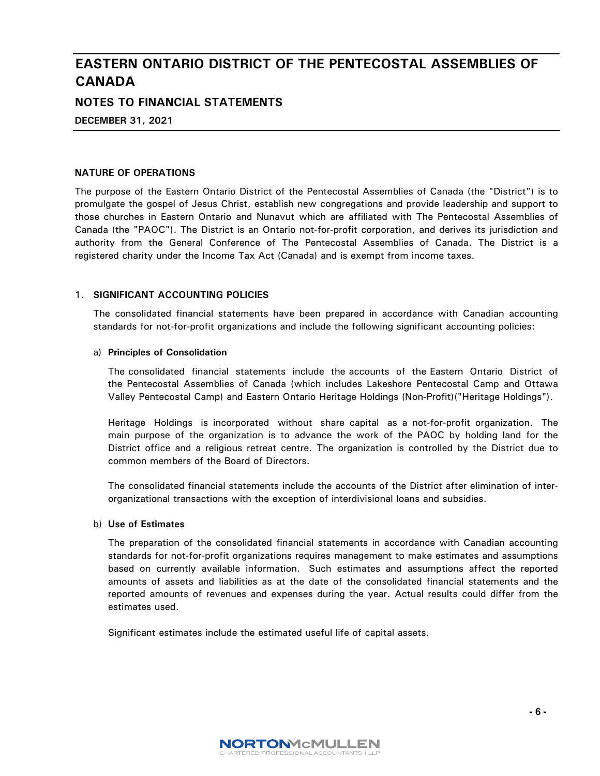### NOTES TO FINANCIAL STATEMENTS

DECEMBER 31, 2021

#### NATURE OF OPERATIONS

The purpose of the Eastern Ontario District of the Pentecostal Assemblies of Canada (the "District") is to promulgate the gospel of Jesus Christ, establish new congregations and provide leadership and support to those churches in Eastern Ontario and Nunavut which are affiliated with The Pentecostal Assemblies of Canada (the "PAOC"). The District is an Ontario not-for-profit corporation, and derives its jurisdiction and authority from the General Conference of The Pentecostal Assemblies of Canada. The District is a registered charity under the Income Tax Act (Canada) and is exempt from income taxes.

### 1. SIGNIFICANT ACCOUNTING POLICIES

The consolidated financial statements have been prepared in accordance with Canadian accounting standards for not-for-profit organizations and include the following significant accounting policies:

#### a) Principles of Consolidation

The consolidated financial statements include the accounts of the Eastern Ontario District of the Pentecostal Assemblies of Canada (which includes Lakeshore Pentecostal Camp and Ottawa Valley Pentecostal Camp) and Eastern Ontario Heritage Holdings (Non-Profit)("Heritage Holdings").

Heritage Holdings is incorporated without share capital as a not-for-profit organization. The main purpose of the organization is to advance the work of the PAOC by holding land for the District office and a religious retreat centre. The organization is controlled by the District due to common members of the Board of Directors.

The consolidated financial statements include the accounts of the District after elimination of interorganizational transactions with the exception of interdivisional loans and subsidies.

#### b) Use of Estimates

The preparation of the consolidated financial statements in accordance with Canadian accounting standards for not-for-profit organizations requires management to make estimates and assumptions based on currently available information. Such estimates and assumptions affect the reported amounts of assets and liabilities as at the date of the consolidated financial statements and the reported amounts of revenues and expenses during the year. Actual results could differ from the estimates used.

Significant estimates include the estimated useful life of capital assets.

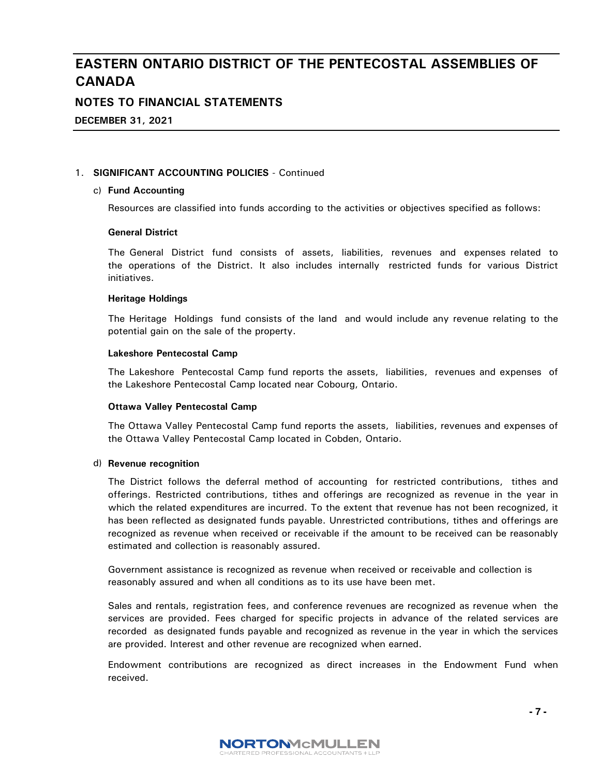NOTES TO FINANCIAL STATEMENTS

DECEMBER 31, 2021

### 1. SIGNIFICANT ACCOUNTING POLICIES - Continued

#### c) Fund Accounting

Resources are classified into funds according to the activities or objectives specified as follows:

### General District

The General District fund consists of assets, liabilities, revenues and expenses related to the operations of the District. It also includes internally restricted funds for various District initiatives.

#### Heritage Holdings

The Heritage Holdings fund consists of the land and would include any revenue relating to the potential gain on the sale of the property.

#### Lakeshore Pentecostal Camp

The Lakeshore Pentecostal Camp fund reports the assets, liabilities, revenues and expenses of the Lakeshore Pentecostal Camp located near Cobourg, Ontario.

#### Ottawa Valley Pentecostal Camp

The Ottawa Valley Pentecostal Camp fund reports the assets, liabilities, revenues and expenses of the Ottawa Valley Pentecostal Camp located in Cobden, Ontario.

#### d) Revenue recognition

The District follows the deferral method of accounting for restricted contributions, tithes and offerings. Restricted contributions, tithes and offerings are recognized as revenue in the year in which the related expenditures are incurred. To the extent that revenue has not been recognized, it has been reflected as designated funds payable. Unrestricted contributions, tithes and offerings are recognized as revenue when received or receivable if the amount to be received can be reasonably estimated and collection is reasonably assured.

Government assistance is recognized as revenue when received or receivable and collection is reasonably assured and when all conditions as to its use have been met.

Sales and rentals, registration fees, and conference revenues are recognized as revenue when the services are provided. Fees charged for specific projects in advance of the related services are recorded as designated funds payable and recognized as revenue in the year in which the services are provided. Interest and other revenue are recognized when earned.

Endowment contributions are recognized as direct increases in the Endowment Fund when received.

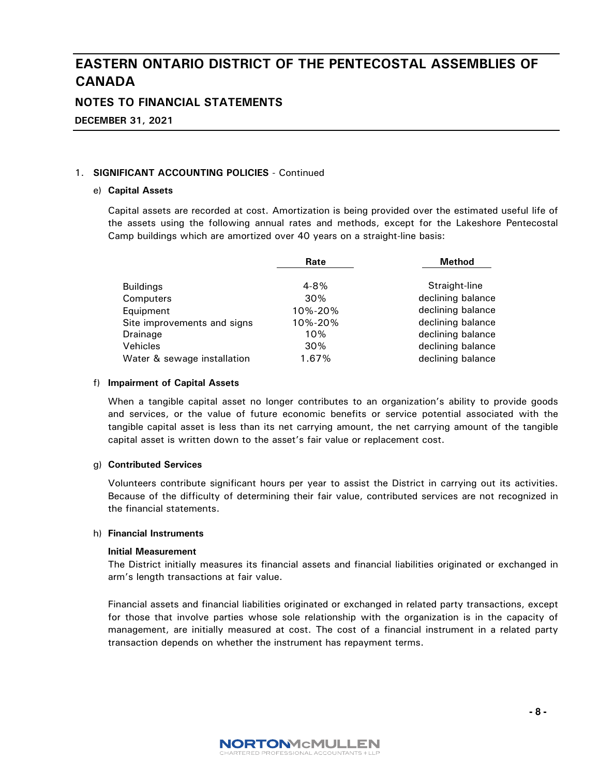NOTES TO FINANCIAL STATEMENTS

DECEMBER 31, 2021

### 1. SIGNIFICANT ACCOUNTING POLICIES - Continued

#### e) Capital Assets

Capital assets are recorded at cost. Amortization is being provided over the estimated useful life of the assets using the following annual rates and methods, except for the Lakeshore Pentecostal Camp buildings which are amortized over 40 years on a straight-line basis:

|                             | Rate     | Method            |
|-----------------------------|----------|-------------------|
| <b>Buildings</b>            | $4 - 8%$ | Straight-line     |
| Computers                   | 30%      | declining balance |
| Equipment                   | 10%-20%  | declining balance |
| Site improvements and signs | 10%-20%  | declining balance |
| Drainage                    | 10%      | declining balance |
| Vehicles                    | 30%      | declining balance |
| Water & sewage installation | 1.67%    | declining balance |

#### f) Impairment of Capital Assets

When a tangible capital asset no longer contributes to an organization's ability to provide goods and services, or the value of future economic benefits or service potential associated with the tangible capital asset is less than its net carrying amount, the net carrying amount of the tangible capital asset is written down to the asset's fair value or replacement cost.

### g) Contributed Services

Volunteers contribute significant hours per year to assist the District in carrying out its activities. Because of the difficulty of determining their fair value, contributed services are not recognized in the financial statements.

#### h) Financial Instruments

#### Initial Measurement

The District initially measures its financial assets and financial liabilities originated or exchanged in arm's length transactions at fair value.

Financial assets and financial liabilities originated or exchanged in related party transactions, except for those that involve parties whose sole relationship with the organization is in the capacity of management, are initially measured at cost. The cost of a financial instrument in a related party transaction depends on whether the instrument has repayment terms.

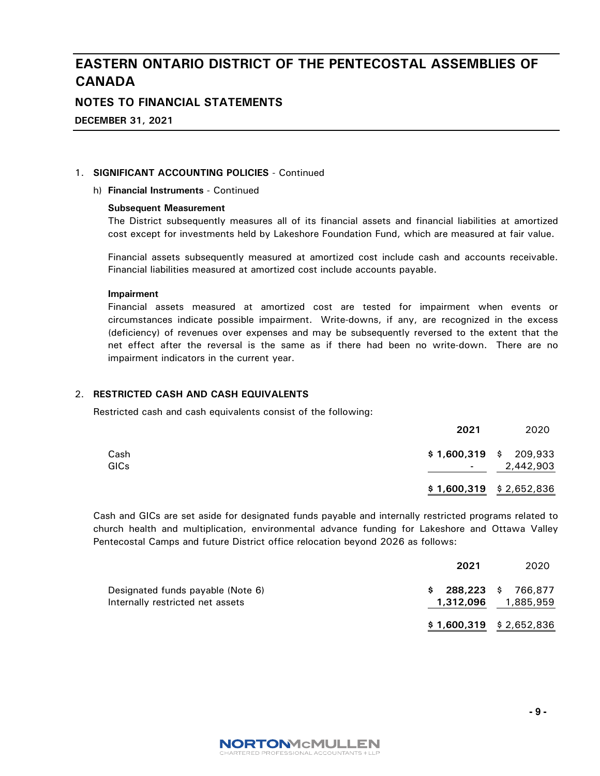NOTES TO FINANCIAL STATEMENTS

DECEMBER 31, 2021

### 1. SIGNIFICANT ACCOUNTING POLICIES - Continued

### h) Financial Instruments - Continued

### Subsequent Measurement

The District subsequently measures all of its financial assets and financial liabilities at amortized cost except for investments held by Lakeshore Foundation Fund, which are measured at fair value.

Financial assets subsequently measured at amortized cost include cash and accounts receivable. Financial liabilities measured at amortized cost include accounts payable.

#### Impairment

Financial assets measured at amortized cost are tested for impairment when events or circumstances indicate possible impairment. Write-downs, if any, are recognized in the excess (deficiency) of revenues over expenses and may be subsequently reversed to the extent that the net effect after the reversal is the same as if there had been no write-down. There are no impairment indicators in the current year.

#### 2. RESTRICTED CASH AND CASH EQUIVALENTS

Restricted cash and cash equivalents consist of the following:

|             | 2021                      | 2020      |
|-------------|---------------------------|-----------|
| Cash        | $$1,600,319$ \$ 209,933   |           |
| <b>GICs</b> | <b>Common</b>             | 2,442,903 |
|             | $$1,600,319$ $$2,652,836$ |           |

Cash and GICs are set aside for designated funds payable and internally restricted programs related to church health and multiplication, environmental advance funding for Lakeshore and Ottawa Valley Pentecostal Camps and future District office relocation beyond 2026 as follows:

|                                                                       | 2021                      | 2020                                      |
|-----------------------------------------------------------------------|---------------------------|-------------------------------------------|
| Designated funds payable (Note 6)<br>Internally restricted net assets | s.                        | 288,223 \$ 766,877<br>1,312,096 1,885,959 |
|                                                                       | $$1,600,319$ $$2,652,836$ |                                           |

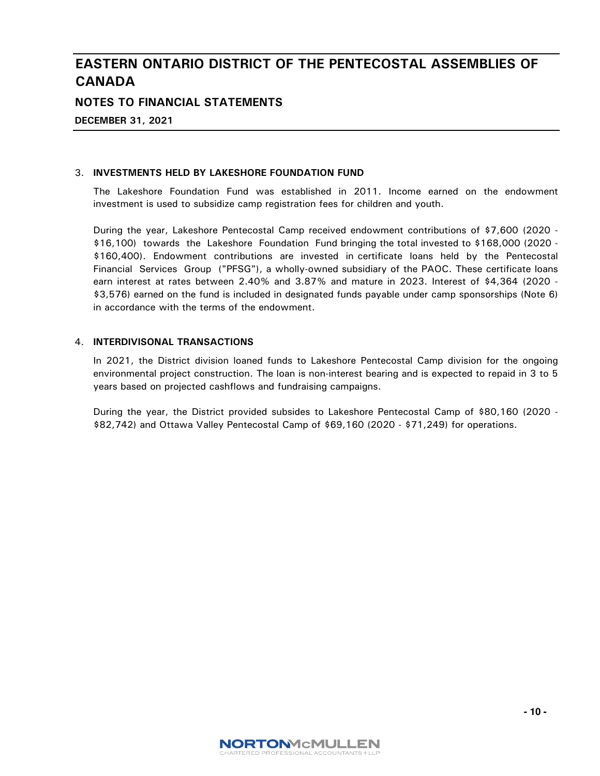NOTES TO FINANCIAL STATEMENTS

DECEMBER 31, 2021

#### 3. INVESTMENTS HELD BY LAKESHORE FOUNDATION FUND

The Lakeshore Foundation Fund was established in 2011. Income earned on the endowment investment is used to subsidize camp registration fees for children and youth.

During the year, Lakeshore Pentecostal Camp received endowment contributions of \$7,600 (2020 - \$16,100) towards the Lakeshore Foundation Fund bringing the total invested to \$168,000 (2020 - \$160,400). Endowment contributions are invested in certificate loans held by the Pentecostal Financial Services Group ("PFSG"), a wholly-owned subsidiary of the PAOC. These certificate loans earn interest at rates between 2.40% and 3.87% and mature in 2023. Interest of \$4,364 (2020 - \$3,576) earned on the fund is included in designated funds payable under camp sponsorships (Note 6) in accordance with the terms of the endowment.

### 4. INTERDIVISONAL TRANSACTIONS

In 2021, the District division loaned funds to Lakeshore Pentecostal Camp division for the ongoing environmental project construction. The loan is non-interest bearing and is expected to repaid in 3 to 5 years based on projected cashflows and fundraising campaigns.

During the year, the District provided subsides to Lakeshore Pentecostal Camp of \$80,160 (2020 - \$82,742) and Ottawa Valley Pentecostal Camp of \$69,160 (2020 - \$71,249) for operations.

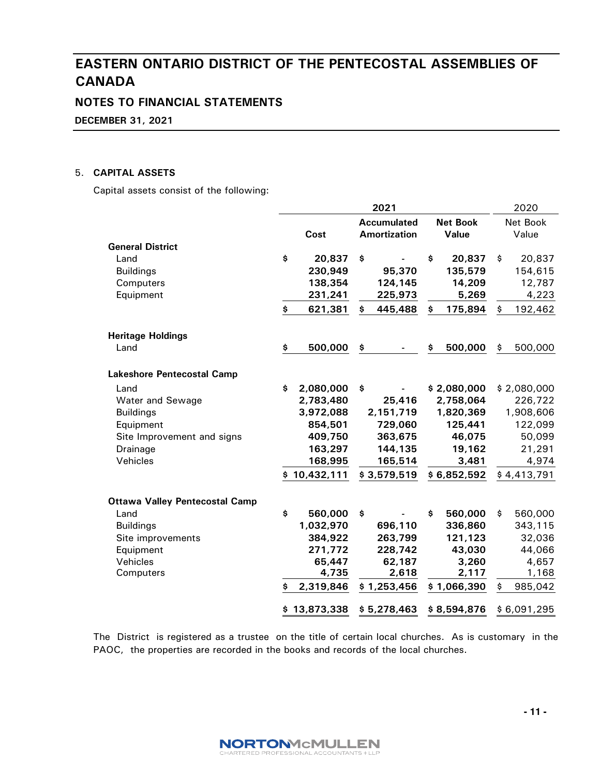NOTES TO FINANCIAL STATEMENTS

DECEMBER 31, 2021

#### 5. CAPITAL ASSETS

Capital assets consist of the following:

|                                       |     |                    |    | 2021                |               | 2020          |
|---------------------------------------|-----|--------------------|----|---------------------|---------------|---------------|
|                                       |     | <b>Accumulated</b> |    | <b>Net Book</b>     | Net Book      |               |
|                                       |     | Cost               |    | <b>Amortization</b> | Value         | Value         |
| <b>General District</b>               |     |                    |    |                     |               |               |
| Land                                  | \$  | 20,837             | \$ |                     | \$<br>20,837  | \$<br>20,837  |
| <b>Buildings</b>                      |     | 230,949            |    | 95,370              | 135,579       | 154,615       |
| Computers                             |     | 138,354            |    | 124,145             | 14,209        | 12,787        |
| Equipment                             |     | 231,241            |    | 225,973             | 5,269         | 4,223         |
|                                       | \$  | 621,381            | \$ | 445,488             | \$<br>175,894 | \$<br>192,462 |
| <b>Heritage Holdings</b>              |     |                    |    |                     |               |               |
| Land                                  | \$  | 500,000            | \$ |                     | \$<br>500,000 | \$<br>500,000 |
| <b>Lakeshore Pentecostal Camp</b>     |     |                    |    |                     |               |               |
| Land                                  | \$  | 2,080,000          | \$ |                     | \$2,080,000   | \$2,080,000   |
| Water and Sewage                      |     | 2,783,480          |    | 25,416              | 2,758,064     | 226,722       |
| <b>Buildings</b>                      |     | 3,972,088          |    | 2,151,719           | 1,820,369     | 1,908,606     |
| Equipment                             |     | 854,501            |    | 729,060             | 125,441       | 122,099       |
| Site Improvement and signs            |     | 409,750            |    | 363,675             | 46,075        | 50,099        |
| Drainage                              |     | 163,297            |    | 144,135             | 19,162        | 21,291        |
| Vehicles                              |     | 168,995            |    | 165,514             | 3,481         | 4,974         |
|                                       | \$. | 10,432,111         |    | \$3,579,519         | \$6,852,592   | \$4,413,791   |
| <b>Ottawa Valley Pentecostal Camp</b> |     |                    |    |                     |               |               |
| Land                                  | \$  | 560,000            | \$ |                     | \$<br>560,000 | \$<br>560,000 |
| <b>Buildings</b>                      |     | 1,032,970          |    | 696,110             | 336,860       | 343,115       |
| Site improvements                     |     | 384,922            |    | 263,799             | 121,123       | 32,036        |
| Equipment                             |     | 271,772            |    | 228,742             | 43,030        | 44,066        |
| Vehicles                              |     | 65,447             |    | 62,187              | 3,260         | 4,657         |
| Computers                             |     | 4,735              |    | 2,618               | 2,117         | 1,168         |
|                                       | \$  | 2,319,846          |    | \$1,253,456         | \$1,066,390   | \$<br>985,042 |
|                                       |     | \$13,873,338       |    | \$5,278,463         | \$8,594,876   | \$6,091,295   |

The District is registered as a trustee on the title of certain local churches. As is customary in the PAOC, the properties are recorded in the books and records of the local churches.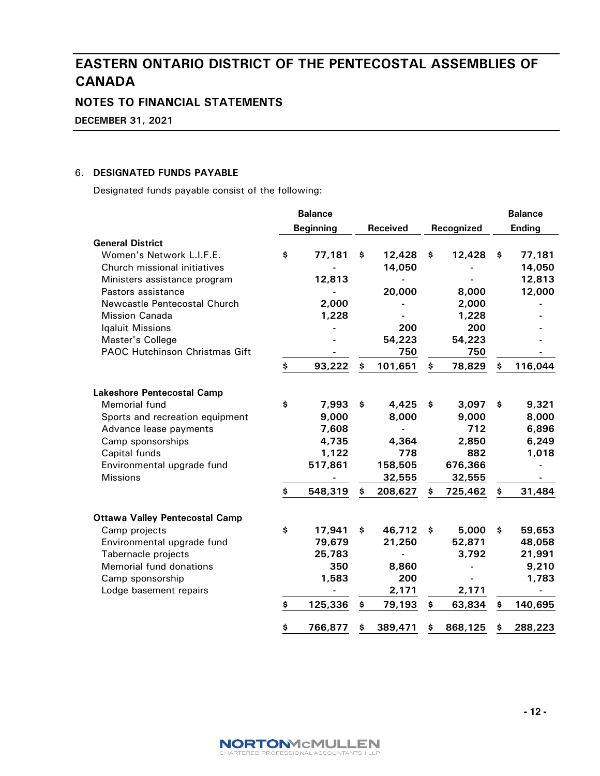NOTES TO FINANCIAL STATEMENTS

DECEMBER 31, 2021

### 6. DESIGNATED FUNDS PAYABLE

Designated funds payable consist of the following:

|                                       | <b>Balance</b> |                              |    |                 |     | <b>Balance</b> |                |
|---------------------------------------|----------------|------------------------------|----|-----------------|-----|----------------|----------------|
|                                       |                | <b>Beginning</b>             |    | <b>Received</b> |     | Recognized     | Ending         |
| <b>General District</b>               |                |                              |    |                 |     |                |                |
| Women's Network L.I.F.E.              | \$             | 77,181                       | \$ | 12,428          | \$  | 12,428         | \$<br>77,181   |
| Church missional initiatives          |                |                              |    | 14,050          |     |                | 14,050         |
| Ministers assistance program          |                | 12,813                       |    |                 |     |                | 12,813         |
| Pastors assistance                    |                |                              |    | 20,000          |     | 8,000          | 12,000         |
| Newcastle Pentecostal Church          |                | 2,000                        |    |                 |     | 2,000          |                |
| <b>Mission Canada</b>                 |                | 1,228                        |    |                 |     | 1,228          |                |
| Igaluit Missions                      |                |                              |    | 200             |     | 200            |                |
| Master's College                      |                |                              |    | 54,223          |     | 54,223         |                |
| <b>PAOC Hutchinson Christmas Gift</b> |                |                              |    | 750             |     | 750            |                |
|                                       | \$             | 93,222                       | \$ | 101,651         | \$  | 78,829         | \$<br>116,044  |
| <b>Lakeshore Pentecostal Camp</b>     |                |                              |    |                 |     |                |                |
| Memorial fund                         | \$             | 7,993                        | \$ | 4,425           | \$  | 3,097          | \$<br>9,321    |
| Sports and recreation equipment       |                | 9,000                        |    | 8,000           |     | 9,000          | 8,000          |
| Advance lease payments                |                | 7,608                        |    |                 |     | 712            | 6,896          |
| Camp sponsorships                     |                | 4,735                        |    | 4,364           |     | 2,850          | 6,249          |
| Capital funds                         |                | 1,122                        |    | 778             |     | 882            | 1,018          |
| Environmental upgrade fund            |                | 517,861                      |    | 158,505         |     | 676,366        |                |
| <b>Missions</b>                       |                | $\qquad \qquad \blacksquare$ |    | 32,555          |     | 32,555         | ٠              |
|                                       | \$             | 548,319                      | \$ | 208,627         | \$  | 725,462        | \$<br>31,484   |
| <b>Ottawa Valley Pentecostal Camp</b> |                |                              |    |                 |     |                |                |
| Camp projects                         | \$             | 17,941                       | \$ | 46,712          | \$. | 5,000          | \$<br>59,653   |
| Environmental upgrade fund            |                | 79,679                       |    | 21,250          |     | 52,871         | 48,058         |
| Tabernacle projects                   |                | 25,783                       |    |                 |     | 3,792          | 21,991         |
| Memorial fund donations               |                | 350                          |    | 8,860           |     |                | 9,210          |
| Camp sponsorship                      |                | 1,583                        |    | 200             |     |                | 1,783          |
| Lodge basement repairs                |                | $\blacksquare$               |    | 2,171           |     | 2,171          | $\blacksquare$ |
|                                       | \$             | 125,336                      | \$ | 79,193          | \$  | 63,834         | \$<br>140,695  |
|                                       | \$             | 766,877                      | \$ | 389,471         | \$  | 868,125        | \$<br>288,223  |

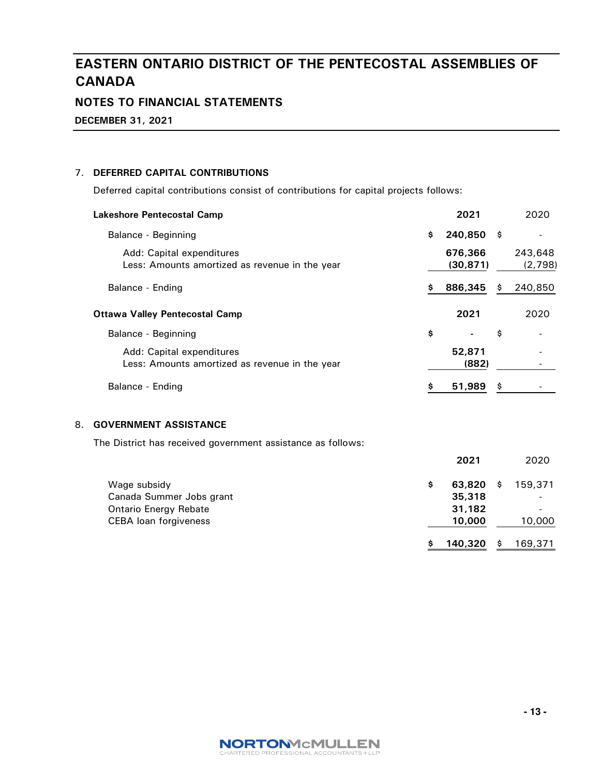## NOTES TO FINANCIAL STATEMENTS

DECEMBER 31, 2021

### 7. DEFERRED CAPITAL CONTRIBUTIONS

Deferred capital contributions consist of contributions for capital projects follows:

|    | <b>Lakeshore Pentecostal Camp</b>                                                                        | 2021                                       |     | 2020               |
|----|----------------------------------------------------------------------------------------------------------|--------------------------------------------|-----|--------------------|
|    | Balance - Beginning                                                                                      | \$<br>240,850                              | -\$ |                    |
|    | Add: Capital expenditures<br>Less: Amounts amortized as revenue in the year                              | 676,366<br>(30, 871)                       |     | 243,648<br>(2,798) |
|    | Balance - Ending                                                                                         | \$<br>886,345                              | \$  | 240,850            |
|    | <b>Ottawa Valley Pentecostal Camp</b>                                                                    | 2021                                       |     | 2020               |
|    | Balance - Beginning                                                                                      | \$                                         | \$  |                    |
|    | Add: Capital expenditures<br>Less: Amounts amortized as revenue in the year                              | 52,871<br>(882)                            |     |                    |
|    | Balance - Ending                                                                                         | \$<br>51,989                               | \$  |                    |
| 8. | <b>GOVERNMENT ASSISTANCE</b>                                                                             |                                            |     |                    |
|    | The District has received government assistance as follows:                                              |                                            |     |                    |
|    |                                                                                                          | 2021                                       |     | 2020               |
|    | Wage subsidy<br>Canada Summer Jobs grant<br><b>Ontario Energy Rebate</b><br><b>CEBA</b> loan forgiveness | \$<br>63,820<br>35,318<br>31,182<br>10,000 | \$  | 159,371<br>10,000  |
|    |                                                                                                          | \$<br>140,320                              | \$  | 169,371            |

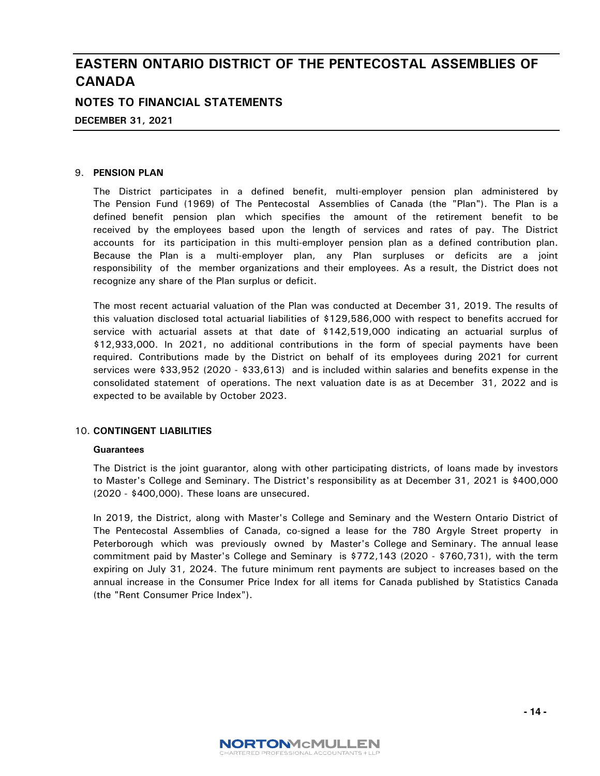## NOTES TO FINANCIAL STATEMENTS

DECEMBER 31, 2021

#### 9. PENSION PLAN

The District participates in a defined benefit, multi-employer pension plan administered by The Pension Fund (1969) of The Pentecostal Assemblies of Canada (the "Plan"). The Plan is a defined benefit pension plan which specifies the amount of the retirement benefit to be received by the employees based upon the length of services and rates of pay. The District accounts for its participation in this multi-employer pension plan as a defined contribution plan. Because the Plan is a multi-employer plan, any Plan surpluses or deficits are a joint responsibility of the member organizations and their employees. As a result, the District does not recognize any share of the Plan surplus or deficit.

The most recent actuarial valuation of the Plan was conducted at December 31, 2019. The results of this valuation disclosed total actuarial liabilities of \$129,586,000 with respect to benefits accrued for service with actuarial assets at that date of \$142,519,000 indicating an actuarial surplus of \$12,933,000. In 2021, no additional contributions in the form of special payments have been required. Contributions made by the District on behalf of its employees during 2021 for current services were \$33,952 (2020 - \$33,613) and is included within salaries and benefits expense in the consolidated statement of operations. The next valuation date is as at December 31, 2022 and is expected to be available by October 2023.

#### 10. CONTINGENT LIABILITIES

#### **Guarantees**

The District is the joint guarantor, along with other participating districts, of loans made by investors to Master's College and Seminary. The District's responsibility as at December 31, 2021 is \$400,000 (2020 - \$400,000). These loans are unsecured.

In 2019, the District, along with Master's College and Seminary and the Western Ontario District of The Pentecostal Assemblies of Canada, co-signed a lease for the 780 Argyle Street property in Peterborough which was previously owned by Master's College and Seminary. The annual lease commitment paid by Master's College and Seminary is \$772,143 (2020 - \$760,731), with the term expiring on July 31, 2024. The future minimum rent payments are subject to increases based on the annual increase in the Consumer Price Index for all items for Canada published by Statistics Canada (the "Rent Consumer Price Index").

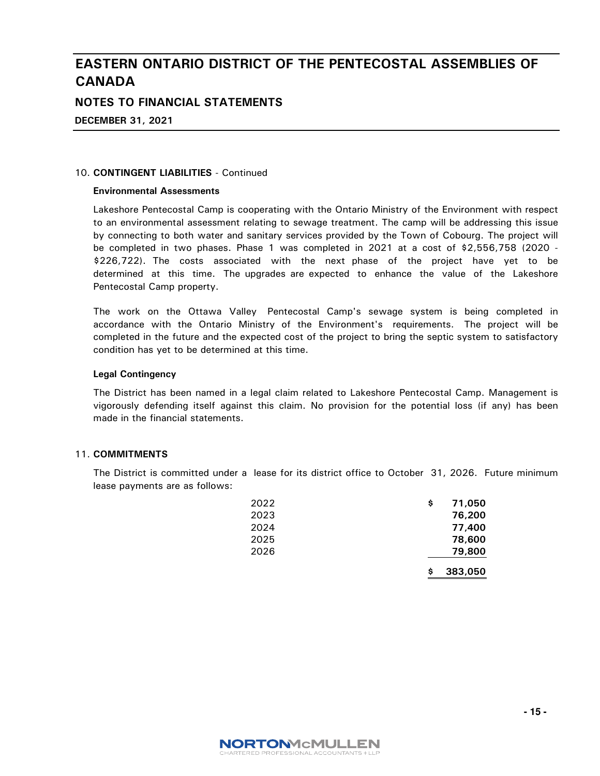### NOTES TO FINANCIAL STATEMENTS

DECEMBER 31, 2021

#### 10. CONTINGENT LIABILITIES - Continued

#### Environmental Assessments

Lakeshore Pentecostal Camp is cooperating with the Ontario Ministry of the Environment with respect to an environmental assessment relating to sewage treatment. The camp will be addressing this issue by connecting to both water and sanitary services provided by the Town of Cobourg. The project will be completed in two phases. Phase 1 was completed in 2021 at a cost of \$2,556,758 (2020 - \$226,722). The costs associated with the next phase of the project have yet to be determined at this time. The upgrades are expected to enhance the value of the Lakeshore Pentecostal Camp property.

The work on the Ottawa Valley Pentecostal Camp's sewage system is being completed in accordance with the Ontario Ministry of the Environment's requirements. The project will be completed in the future and the expected cost of the project to bring the septic system to satisfactory condition has yet to be determined at this time.

#### Legal Contingency

The District has been named in a legal claim related to Lakeshore Pentecostal Camp. Management is vigorously defending itself against this claim. No provision for the potential loss (if any) has been made in the financial statements.

#### 11. COMMITMENTS

The District is committed under a lease for its district office to October 31, 2026. Future minimum lease payments are as follows:

| 2022 |  | \$  | 71,050  |
|------|--|-----|---------|
| 2023 |  |     | 76,200  |
| 2024 |  |     | 77,400  |
| 2025 |  |     | 78,600  |
| 2026 |  |     | 79,800  |
|      |  | \$. | 383,050 |